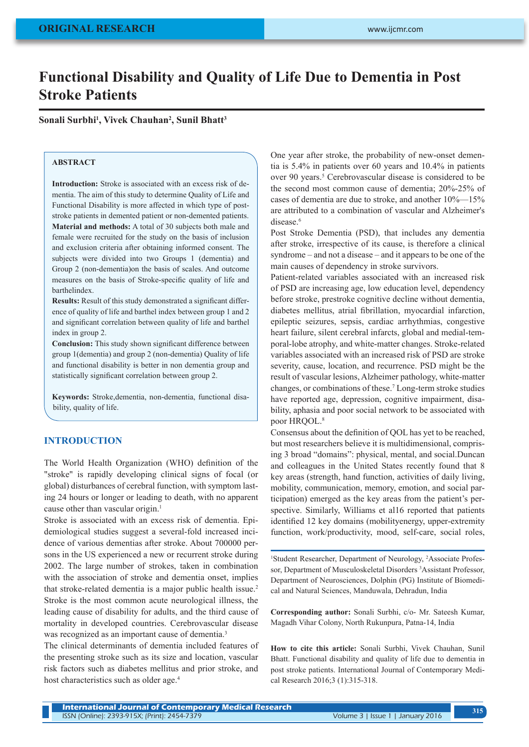# **Functional Disability and Quality of Life Due to Dementia in Post Stroke Patients**

**Sonali Surbhi1 , Vivek Chauhan2 , Sunil Bhatt3**

# **ABSTRACT**

**Introduction:** Stroke is associated with an excess risk of dementia. The aim of this study to determine Quality of Life and Functional Disability is more affected in which type of poststroke patients in demented patient or non-demented patients. **Material and methods:** A total of 30 subjects both male and female were recruited for the study on the basis of inclusion and exclusion criteria after obtaining informed consent. The subjects were divided into two Groups 1 (dementia) and Group 2 (non-dementia)on the basis of scales. And outcome measures on the basis of Stroke-specific quality of life and barthelindex.

**Results:** Result of this study demonstrated a significant difference of quality of life and barthel index between group 1 and 2 and significant correlation between quality of life and barthel index in group 2.

**Conclusion:** This study shown significant difference between group 1(dementia) and group 2 (non-dementia) Quality of life and functional disability is better in non dementia group and statistically significant correlation between group 2.

**Keywords:** Stroke,dementia, non-dementia, functional disability, quality of life.

## **INTRODUCTION**

The World Health Organization (WHO) definition of the "stroke" is rapidly developing clinical signs of focal (or global) disturbances of cerebral function, with symptom lasting 24 hours or longer or leading to death, with no apparent cause other than vascular origin.<sup>1</sup>

Stroke is associated with an excess risk of dementia. Epidemiological studies suggest a several-fold increased incidence of various dementias after stroke. About 700000 persons in the US experienced a new or recurrent stroke during 2002. The large number of strokes, taken in combination with the association of stroke and dementia onset, implies that stroke-related dementia is a major public health issue.<sup>2</sup> Stroke is the most common acute neurological illness, the leading cause of disability for adults, and the third cause of mortality in developed countries. Cerebrovascular disease was recognized as an important cause of dementia.<sup>3</sup>

The clinical determinants of dementia included features of the presenting stroke such as its size and location, vascular risk factors such as diabetes mellitus and prior stroke, and host characteristics such as older age.<sup>4</sup>

One year after stroke, the probability of new-onset dementia is 5.4% in patients over 60 years and 10.4% in patients over 90 years.<sup>5</sup> Cerebrovascular disease is considered to be the second most common cause of dementia; 20%-25% of cases of dementia are due to stroke, and another 10%—15% are attributed to a combination of vascular and Alzheimer's disease.<sup>6</sup>

Post Stroke Dementia (PSD), that includes any dementia after stroke, irrespective of its cause, is therefore a clinical syndrome – and not a disease – and it appears to be one of the main causes of dependency in stroke survivors.

Patient-related variables associated with an increased risk of PSD are increasing age, low education level, dependency before stroke, prestroke cognitive decline without dementia, diabetes mellitus, atrial fibrillation, myocardial infarction, epileptic seizures, sepsis, cardiac arrhythmias, congestive heart failure, silent cerebral infarcts, global and medial-temporal-lobe atrophy, and white-matter changes. Stroke-related variables associated with an increased risk of PSD are stroke severity, cause, location, and recurrence. PSD might be the result of vascular lesions, Alzheimer pathology, white-matter changes, or combinations of these.7 Long-term stroke studies have reported age, depression, cognitive impairment, disability, aphasia and poor social network to be associated with poor HROOL.<sup>8</sup>

Consensus about the definition of QOL has yet to be reached, but most researchers believe it is multidimensional, comprising 3 broad "domains": physical, mental, and social.Duncan and colleagues in the United States recently found that 8 key areas (strength, hand function, activities of daily living, mobility, communication, memory, emotion, and social participation) emerged as the key areas from the patient's perspective. Similarly, Williams et al16 reported that patients identified 12 key domains (mobilityenergy, upper-extremity function, work/productivity, mood, self-care, social roles,

<sup>1</sup>Student Researcher, Department of Neurology, <sup>2</sup>Associate Professor, Department of Musculoskeletal Disorders<sup>3</sup>Assistant Professor, Department of Neurosciences, Dolphin (PG) Institute of Biomedical and Natural Sciences, Manduwala, Dehradun, India

**Corresponding author:** Sonali Surbhi, c/o- Mr. Sateesh Kumar, Magadh Vihar Colony, North Rukunpura, Patna-14, India

**How to cite this article:** Sonali Surbhi, Vivek Chauhan, Sunil Bhatt. Functional disability and quality of life due to dementia in post stroke patients. International Journal of Contemporary Medical Research 2016;3 (1):315-318.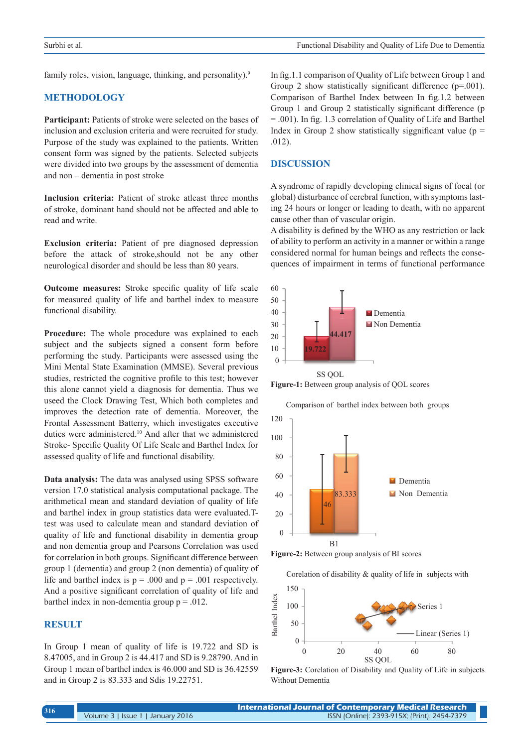family roles, vision, language, thinking, and personality).<sup>9</sup>

# **METHODOLOGY**

**Participant:** Patients of stroke were selected on the bases of inclusion and exclusion criteria and were recruited for study. Purpose of the study was explained to the patients. Written consent form was signed by the patients. Selected subjects were divided into two groups by the assessment of dementia and non – dementia in post stroke

**Inclusion criteria:** Patient of stroke atleast three months of stroke, dominant hand should not be affected and able to read and write.

**Exclusion criteria:** Patient of pre diagnosed depression before the attack of stroke,should not be any other neurological disorder and should be less than 80 years.

**Outcome measures:** Stroke specific quality of life scale for measured quality of life and barthel index to measure functional disability.

Procedure: The whole procedure was explained to each subject and the subjects signed a consent form before performing the study. Participants were assessed using the Mini Mental State Examination (MMSE). Several previous studies, restricted the cognitive profile to this test; however this alone cannot yield a diagnosis for dementia. Thus we useed the Clock Drawing Test, Which both completes and improves the detection rate of dementia. Moreover, the Frontal Assessment Batterry, which investigates executive duties were administered.<sup>10</sup> And after that we administered Stroke- Specific Quality Of Life Scale and Barthel Index for assessed quality of life and functional disability.

**Data analysis:** The data was analysed using SPSS software version 17.0 statistical analysis computational package. The arithmetical mean and standard deviation of quality of life and barthel index in group statistics data were evaluated.Ttest was used to calculate mean and standard deviation of quality of life and functional disability in dementia group and non dementia group and Pearsons Correlation was used for correlation in both groups. Significant difference between group 1 (dementia) and group 2 (non dementia) of quality of life and barthel index is  $p = .000$  and  $p = .001$  respectively. And a positive significant correlation of quality of life and barthel index in non-dementia group  $p = .012$ .

## **RESULT**

In Group 1 mean of quality of life is 19.722 and SD is 8.47005, and in Group 2 is 44.417 and SD is 9.28790. And in Group 1 mean of barthel index is 46.000 and SD is 36.42559 and in Group 2 is 83.333 and Sdis 19.22751.

In fig.1.1 comparison of Quality of Life between Group 1 and Group 2 show statistically significant difference (p=.001). Comparison of Barthel Index between In fig.1.2 between Group 1 and Group 2 statistically significant difference (p = .001). In fig. 1.3 correlation of Quality of Life and Barthel Index in Group 2 show statistically siggnificant value ( $p =$ .012).

#### **DISCUSSION**

A syndrome of rapidly developing clinical signs of focal (or global) disturbance of cerebral function, with symptoms lasting 24 hours or longer or leading to death, with no apparent cause other than of vascular origin.

A disability is defined by the WHO as any restriction or lack of ability to perform an activity in a manner or within a range considered normal for human beings and reflects the consequences of impairment in terms of functional performance



**Figure-1:** Between group analysis of QOL scores

Comparison of barthel index between both groups



**Figure-2:** Between group analysis of BI scores

Corelation of disability & quality of life in subjects with



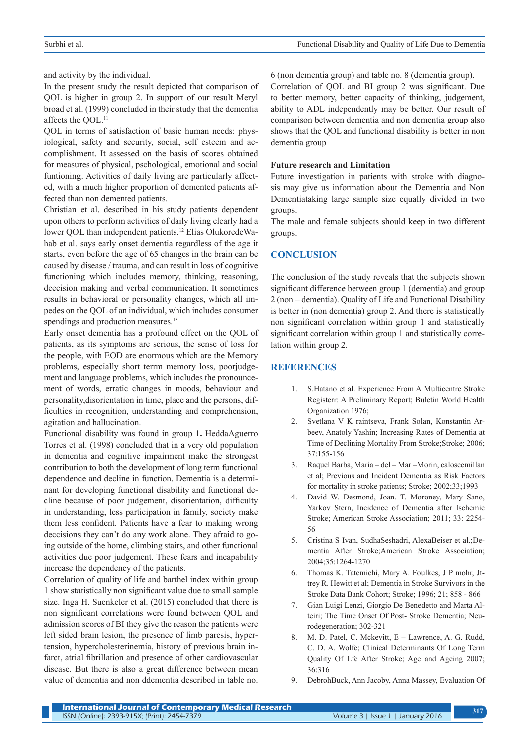and activity by the individual.

In the present study the result depicted that comparison of QOL is higher in group 2. In support of our result Meryl broad et al. (1999) concluded in their study that the dementia affects the QOL.11

QOL in terms of satisfaction of basic human needs: physiological, safety and security, social, self esteem and accomplishment. It assessed on the basis of scores obtained for measures of physical, pschological, emotional and social funtioning. Activities of daily living are particularly affected, with a much higher proportion of demented patients affected than non demented patients.

Christian et al. described in his study patients dependent upon others to perform activities of daily living clearly had a lower QOL than independent patients.12 Elias OlukoredeWahab et al. says early onset dementia regardless of the age it starts, even before the age of 65 changes in the brain can be caused by disease / trauma, and can result in loss of cognitive functioning which includes memory, thinking, reasoning, deecision making and verbal communication. It sometimes results in behavioral or personality changes, which all impedes on the QOL of an individual, which includes consumer spendings and production measures.<sup>13</sup>

Early onset dementia has a profound effect on the QOL of patients, as its symptoms are serious, the sense of loss for the people, with EOD are enormous which are the Memory problems, especially short terrm memory loss, poorjudgement and language problems, which includes the pronouncement of words, erratic changes in moods, behaviour and personality,disorientation in time, place and the persons, difficulties in recognition, understanding and comprehension, agitation and hallucination.

Functional disability was found in group 1**.** HeddaAguerro Torres et al. (1998) concluded that in a very old population in dementia and cognitive impairment make the strongest contribution to both the development of long term functional dependence and decline in function. Dementia is a determinant for developing functional disability and functional decline because of poor judgement, disorientation, difficulty in understanding, less participation in family, society make them less confident. Patients have a fear to making wrong deccisions they can't do any work alone. They afraid to going outside of the home, climbing stairs, and other functional activities due poor judgement. These fears and incapability increase the dependency of the patients.

Correlation of quality of life and barthel index within group 1 show statistically non significant value due to small sample size. Inga H. Suenkeler et al. (2015) concluded that there is non significant correlations were found between QOL and admission scores of BI they give the reason the patients were left sided brain lesion, the presence of limb paresis, hypertension, hypercholesterinemia, history of previous brain infarct, atrial fibrillation and presence of other cardiovascular disease. But there is also a great difference between mean value of dementia and non ddementia described in table no. 6 (non dementia group) and table no. 8 (dementia group).

Correlation of QOL and BI group 2 was significant. Due to better memory, better capacity of thinking, judgement, ability to ADL independently may be better. Our result of comparison between dementia and non dementia group also shows that the QOL and functional disability is better in non dementia group

#### **Future research and Limitation**

Future investigation in patients with stroke with diagnosis may give us information about the Dementia and Non Dementiataking large sample size equally divided in two groups.

The male and female subjects should keep in two different groups.

# **CONCLUSION**

The conclusion of the study reveals that the subjects shown significant difference between group 1 (dementia) and group 2 (non – dementia). Quality of Life and Functional Disability is better in (non dementia) group 2. And there is statistically non significant correlation within group 1 and statistically significant correlation within group 1 and statistically correlation within group 2.

# **REFERENCES**

- 1. S.Hatano et al. Experience From A Multicentre Stroke Registerr: A Preliminary Report; Buletin World Health Organization 1976;
- 2. Svetlana V K raintseva, Frank Solan, Konstantin Arbeev, Anatoly Yashin; Increasing Rates of Dementia at Time of Declining Mortality From Stroke; Stroke; 2006; 37:155-156
- 3. Raquel Barba, Maria del Mar –Morin, caloscemillan et al; Previous and Incident Dementia as Risk Factors for mortality in stroke patients; Stroke; 2002;33;1993
- 4. David W. Desmond, Joan. T. Moroney, Mary Sano, Yarkov Stern, Incidence of Dementia after Ischemic Stroke; American Stroke Association; 2011; 33: 2254- 56
- 5. Cristina S Ivan, SudhaSeshadri, AlexaBeiser et al.;Dementia After Stroke;American Stroke Association; 2004;35:1264-1270
- 6. Thomas K. Tatemichi, Mary A. Foulkes, J P mohr, Jttrey R. Hewitt et al; Dementia in Stroke Survivors in the Stroke Data Bank Cohort; Stroke; 1996; 21; 858 - 866
- 7. Gian Luigi Lenzi, Giorgio De Benedetto and Marta Alteiri; The Time Onset Of Post- Stroke Dementia; Neurodegeneration; 302-321
- 8. M. D. Patel, C. Mckevitt, E Lawrence, A. G. Rudd, C. D. A. Wolfe; Clinical Determinants Of Long Term Quality Of Lfe After Stroke; Age and Ageing 2007; 36:316
- 9. DebrohBuck, Ann Jacoby, Anna Massey, Evaluation Of